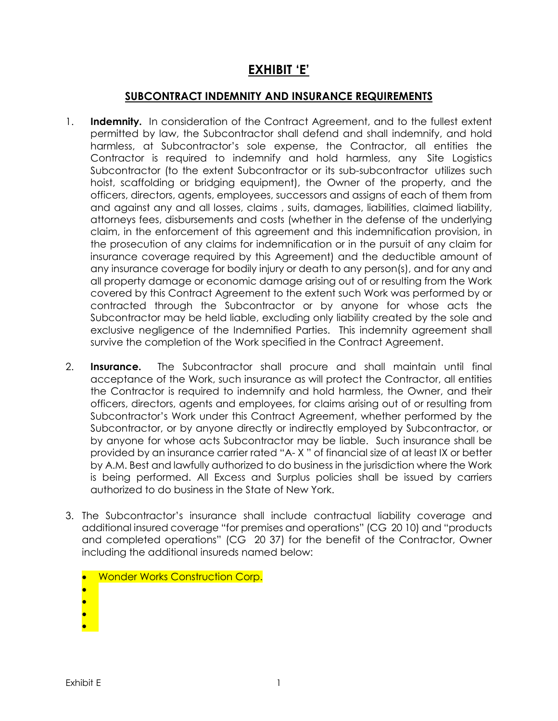## **EXHIBIT 'E'**

## **SUBCONTRACT INDEMNITY AND INSURANCE REQUIREMENTS**

- 1. **Indemnity.** In consideration of the Contract Agreement, and to the fullest extent permitted by law, the Subcontractor shall defend and shall indemnify, and hold harmless, at Subcontractor's sole expense, the Contractor, all entities the Contractor is required to indemnify and hold harmless, any Site Logistics Subcontractor (to the extent Subcontractor or its sub-subcontractor utilizes such hoist, scaffolding or bridging equipment), the Owner of the property, and the officers, directors, agents, employees, successors and assigns of each of them from and against any and all losses, claims , suits, damages, liabilities, claimed liability, attorneys fees, disbursements and costs (whether in the defense of the underlying claim, in the enforcement of this agreement and this indemnification provision, in the prosecution of any claims for indemnification or in the pursuit of any claim for insurance coverage required by this Agreement) and the deductible amount of any insurance coverage for bodily injury or death to any person(s), and for any and all property damage or economic damage arising out of or resulting from the Work covered by this Contract Agreement to the extent such Work was performed by or contracted through the Subcontractor or by anyone for whose acts the Subcontractor may be held liable, excluding only liability created by the sole and exclusive negligence of the Indemnified Parties. This indemnity agreement shall survive the completion of the Work specified in the Contract Agreement.
- 2. **Insurance.** The Subcontractor shall procure and shall maintain until final acceptance of the Work, such insurance as will protect the Contractor, all entities the Contractor is required to indemnify and hold harmless, the Owner, and their officers, directors, agents and employees, for claims arising out of or resulting from Subcontractor's Work under this Contract Agreement, whether performed by the Subcontractor, or by anyone directly or indirectly employed by Subcontractor, or by anyone for whose acts Subcontractor may be liable. Such insurance shall be provided by an insurance carrier rated "A- X " of financial size of at least IX or better by A.M. Best and lawfully authorized to do business in the jurisdiction where the Work is being performed. All Excess and Surplus policies shall be issued by carriers authorized to do business in the State of New York.
- 3. The Subcontractor's insurance shall include contractual liability coverage and additional insured coverage "for premises and operations" (CG 20 10) and "products and completed operations" (CG 20 37) for the benefit of the Contractor, Owner including the additional insureds named below:
	- Wonder Works Construction Corp.
	- •
	- •
	- •
	- •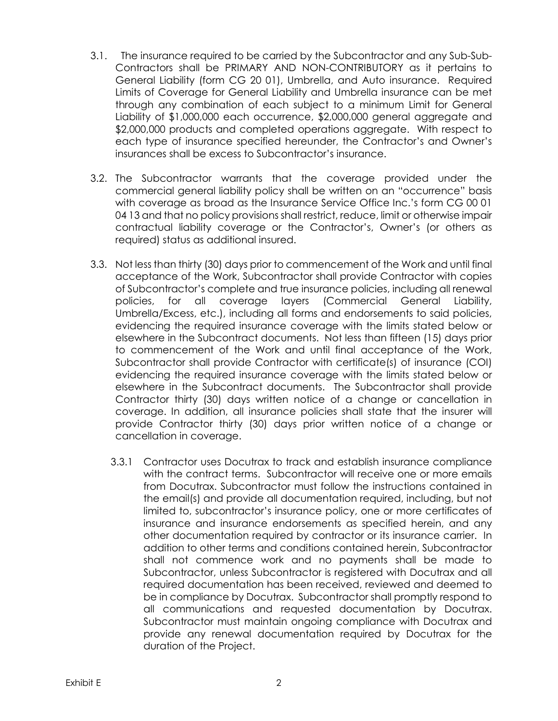- 3.1. The insurance required to be carried by the Subcontractor and any Sub-Sub-Contractors shall be PRIMARY AND NON-CONTRIBUTORY as it pertains to General Liability (form CG 20 01), Umbrella, and Auto insurance. Required Limits of Coverage for General Liability and Umbrella insurance can be met through any combination of each subject to a minimum Limit for General Liability of \$1,000,000 each occurrence, \$2,000,000 general aggregate and \$2,000,000 products and completed operations aggregate. With respect to each type of insurance specified hereunder, the Contractor's and Owner's insurances shall be excess to Subcontractor's insurance.
- 3.2. The Subcontractor warrants that the coverage provided under the commercial general liability policy shall be written on an "occurrence" basis with coverage as broad as the Insurance Service Office Inc.'s form CG 00 01 04 13 and that no policy provisions shall restrict, reduce, limit or otherwise impair contractual liability coverage or the Contractor's, Owner's (or others as required) status as additional insured.
- 3.3. Not less than thirty (30) days prior to commencement of the Work and until final acceptance of the Work, Subcontractor shall provide Contractor with copies of Subcontractor's complete and true insurance policies, including all renewal policies, for all coverage layers (Commercial General Liability, Umbrella/Excess, etc.), including all forms and endorsements to said policies, evidencing the required insurance coverage with the limits stated below or elsewhere in the Subcontract documents. Not less than fifteen (15) days prior to commencement of the Work and until final acceptance of the Work, Subcontractor shall provide Contractor with certificate(s) of insurance (COI) evidencing the required insurance coverage with the limits stated below or elsewhere in the Subcontract documents. The Subcontractor shall provide Contractor thirty (30) days written notice of a change or cancellation in coverage. In addition, all insurance policies shall state that the insurer will provide Contractor thirty (30) days prior written notice of a change or cancellation in coverage.
	- 3.3.1 Contractor uses Docutrax to track and establish insurance compliance with the contract terms. Subcontractor will receive one or more emails from Docutrax. Subcontractor must follow the instructions contained in the email(s) and provide all documentation required, including, but not limited to, subcontractor's insurance policy, one or more certificates of insurance and insurance endorsements as specified herein, and any other documentation required by contractor or its insurance carrier. In addition to other terms and conditions contained herein, Subcontractor shall not commence work and no payments shall be made to Subcontractor, unless Subcontractor is registered with Docutrax and all required documentation has been received, reviewed and deemed to be in compliance by Docutrax. Subcontractor shall promptly respond to all communications and requested documentation by Docutrax. Subcontractor must maintain ongoing compliance with Docutrax and provide any renewal documentation required by Docutrax for the duration of the Project.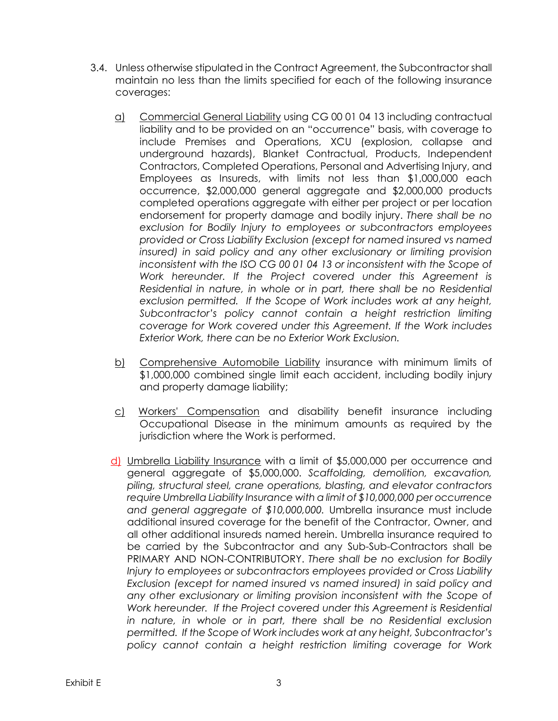- 3.4. Unless otherwise stipulated in the Contract Agreement, the Subcontractor shall maintain no less than the limits specified for each of the following insurance coverages:
	- a) Commercial General Liability using CG 00 01 04 13 including contractual liability and to be provided on an "occurrence" basis, with coverage to include Premises and Operations, XCU (explosion, collapse and underground hazards), Blanket Contractual, Products, Independent Contractors, Completed Operations, Personal and Advertising Injury, and Employees as Insureds, with limits not less than \$1,000,000 each occurrence, \$2,000,000 general aggregate and \$2,000,000 products completed operations aggregate with either per project or per location endorsement for property damage and bodily injury. *There shall be no exclusion for Bodily Injury to employees or subcontractors employees provided or Cross Liability Exclusion (except for named insured vs named insured) in said policy and any other exclusionary or limiting provision inconsistent with the ISO CG 00 01 04 13 or inconsistent with the Scope of Work hereunder. If the Project covered under this Agreement is Residential in nature, in whole or in part, there shall be no Residential exclusion permitted. If the Scope of Work includes work at any height, Subcontractor's policy cannot contain a height restriction limiting coverage for Work covered under this Agreement. If the Work includes Exterior Work, there can be no Exterior Work Exclusion.*
	- b) Comprehensive Automobile Liability insurance with minimum limits of \$1,000,000 combined single limit each accident, including bodily injury and property damage liability;
	- c) Workers' Compensation and disability benefit insurance including Occupational Disease in the minimum amounts as required by the jurisdiction where the Work is performed.
	- d) Umbrella Liability Insurance with a limit of \$5,000,000 per occurrence and general aggregate of \$5,000,000. *Scaffolding, demolition, excavation, piling, structural steel, crane operations, blasting, and elevator contractors require Umbrella Liability Insurance with a limit of \$10,000,000 per occurrence and general aggregate of \$10,000,000.* Umbrella insurance must include additional insured coverage for the benefit of the Contractor, Owner, and all other additional insureds named herein. Umbrella insurance required to be carried by the Subcontractor and any Sub-Sub-Contractors shall be PRIMARY AND NON-CONTRIBUTORY. *There shall be no exclusion for Bodily Injury to employees or subcontractors employees provided or Cross Liability Exclusion (except for named insured vs named insured) in said policy and any other exclusionary or limiting provision inconsistent with the Scope of Work hereunder. If the Project covered under this Agreement is Residential* in nature, in whole or in part, there shall be no Residential exclusion *permitted. If the Scope of Work includes work at any height, Subcontractor's policy cannot contain a height restriction limiting coverage for Work*